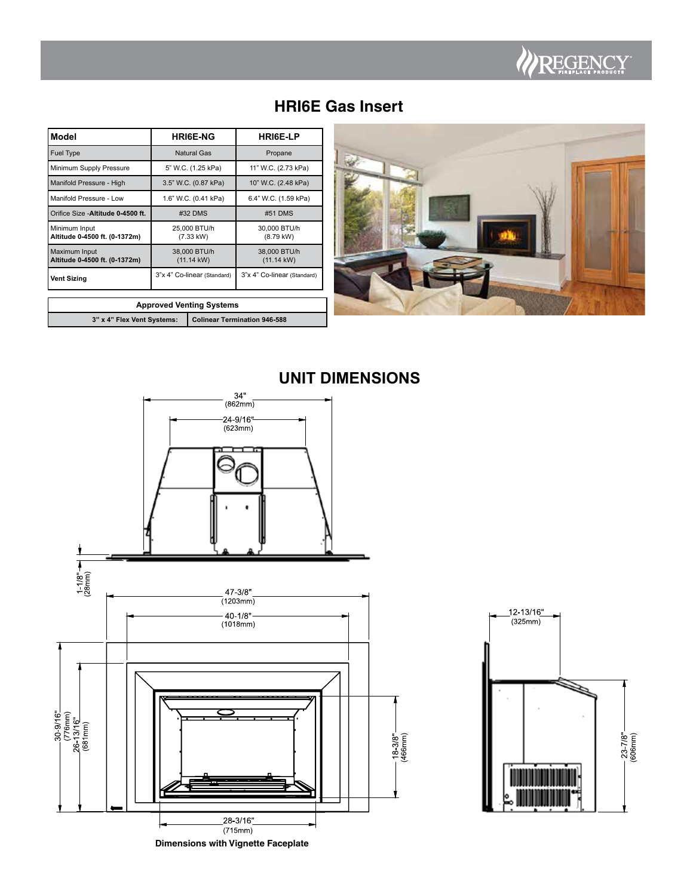

# **HRI6E Gas Insert**

| Model                                                             |                                      | <b>HRI6E-NG</b>           | <b>HRIGE-LP</b>                      |  |  |
|-------------------------------------------------------------------|--------------------------------------|---------------------------|--------------------------------------|--|--|
| <b>Fuel Type</b>                                                  |                                      | Natural Gas               | Propane                              |  |  |
| Minimum Supply Pressure                                           |                                      | 5" W.C. (1.25 kPa)        | 11" W.C. (2.73 kPa)                  |  |  |
| Manifold Pressure - High                                          |                                      | 3.5" W.C. (0.87 kPa)      | 10" W.C. (2.48 kPa)                  |  |  |
| Manifold Pressure - Low                                           |                                      | 1.6" W.C. (0.41 kPa)      | 6.4" W.C. (1.59 kPa)                 |  |  |
| Orifice Size - Altitude 0-4500 ft.                                |                                      | #32 DMS                   | #51 DMS                              |  |  |
| Minimum Input<br>Altitude 0-4500 ft. (0-1372m)                    |                                      | 25,000 BTU/h<br>(7.33 kW) | 30,000 BTU/h<br>$(8.79$ kW)          |  |  |
| Maximum Input<br>Altitude 0-4500 ft. (0-1372m)                    | 38,000 BTU/h<br>$(11.14 \text{ kW})$ |                           | 38,000 BTU/h<br>$(11.14 \text{ kW})$ |  |  |
| <b>Vent Sizing</b>                                                | 3"x 4" Co-linear (Standard)          |                           | 3"x 4" Co-linear (Standard)          |  |  |
| <b>Approved Venting Systems</b>                                   |                                      |                           |                                      |  |  |
| 3" x 4" Flex Vent Systems:<br><b>Colinear Termination 946-588</b> |                                      |                           |                                      |  |  |

| 3" x 4" Flex Vent Systems:   Colinear Termination 946-588 |
|-----------------------------------------------------------|
|                                                           |



**UNIT DIMENSIONS**



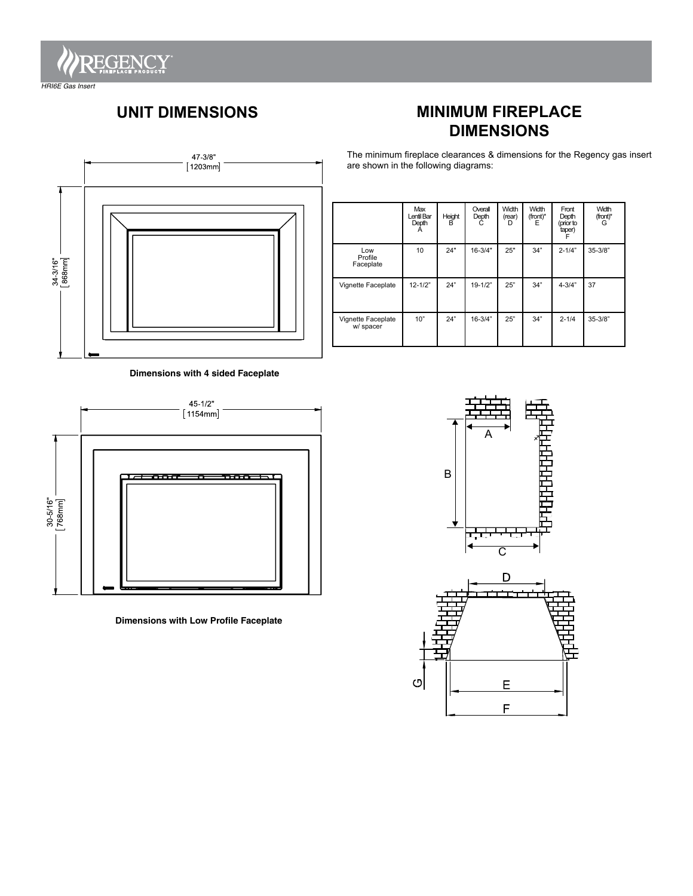

*HRI6E Gas Insert*

# **UNIT DIMENSIONS**



The minimum fireplace clearances & dimensions for the Regency gas insert are shown in the following diagrams:



|                                 | Max<br>Lentil Bar<br>Depth<br>A | Height<br>в | Overall<br>Depth<br>C | Width<br>(rear)<br>D | Width<br>(front)*<br>Е | Front<br>Depth<br>(prior to<br>taper) | Width<br>(front)*<br>G |
|---------------------------------|---------------------------------|-------------|-----------------------|----------------------|------------------------|---------------------------------------|------------------------|
| Low<br>Profile<br>Faceplate     | 10                              | 24"         | $16 - 3/4"$           | 25"                  | 34"                    | $2 - 1/4"$                            | $35 - 3/8"$            |
| Vignette Faceplate              | $12 - 1/2"$                     | 24"         | $19 - 1/2"$           | 25"                  | 34"                    | $4 - 3/4"$                            | 37                     |
| Vignette Faceplate<br>w/ spacer | 10"                             | 24"         | $16 - 3/4"$           | 25"                  | 34"                    | $2 - 1/4$                             | $35 - 3/8"$            |

**Dimensions with 4 sided Faceplate**



**Dimensions with Low Profile Faceplate**



E

 $\mathsf F$ 

 $\circ$